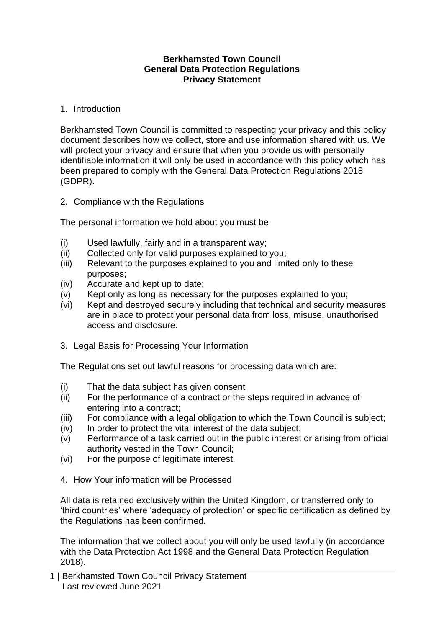## **Berkhamsted Town Council General Data Protection Regulations Privacy Statement**

## 1. Introduction

Berkhamsted Town Council is committed to respecting your privacy and this policy document describes how we collect, store and use information shared with us. We will protect your privacy and ensure that when you provide us with personally identifiable information it will only be used in accordance with this policy which has been prepared to comply with the General Data Protection Regulations 2018 (GDPR).

2. Compliance with the Regulations

The personal information we hold about you must be

- (i) Used lawfully, fairly and in a transparent way;
- (ii) Collected only for valid purposes explained to you;
- (iii) Relevant to the purposes explained to you and limited only to these purposes;
- (iv) Accurate and kept up to date;
- (v) Kept only as long as necessary for the purposes explained to you;
- (vi) Kept and destroyed securely including that technical and security measures are in place to protect your personal data from loss, misuse, unauthorised access and disclosure.
- 3. Legal Basis for Processing Your Information

The Regulations set out lawful reasons for processing data which are:

- (i) That the data subject has given consent
- (ii) For the performance of a contract or the steps required in advance of entering into a contract;
- (iii) For compliance with a legal obligation to which the Town Council is subject;
- (iv) In order to protect the vital interest of the data subject;
- (v) Performance of a task carried out in the public interest or arising from official authority vested in the Town Council;
- (vi) For the purpose of legitimate interest.
- 4. How Your information will be Processed

All data is retained exclusively within the United Kingdom, or transferred only to 'third countries' where 'adequacy of protection' or specific certification as defined by the Regulations has been confirmed.

The information that we collect about you will only be used lawfully (in accordance with the Data Protection Act 1998 and the General Data Protection Regulation 2018).

1 | Berkhamsted Town Council Privacy Statement Last reviewed June 2021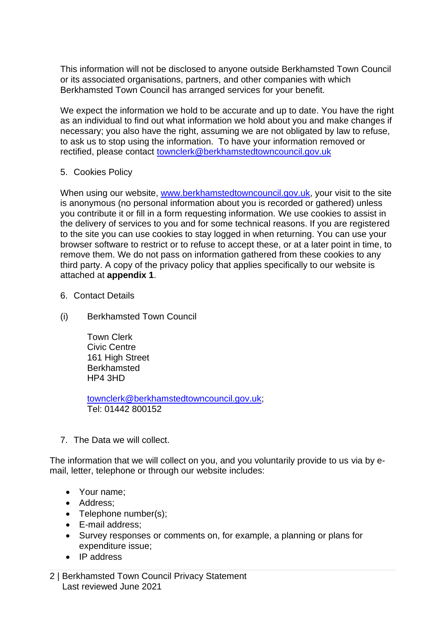This information will not be disclosed to anyone outside Berkhamsted Town Council or its associated organisations, partners, and other companies with which Berkhamsted Town Council has arranged services for your benefit.

We expect the information we hold to be accurate and up to date. You have the right as an individual to find out what information we hold about you and make changes if necessary; you also have the right, assuming we are not obligated by law to refuse, to ask us to stop using the information. To have your information removed or rectified, please contact [townclerk@berkhamstedtowncouncil.gov.uk](mailto:townclerk@berkhamstedtowncouncil.gov.uk)

5. Cookies Policy

When using our website, [www.berkhamstedtowncouncil.gov.uk,](http://www.berkhamstedtowncouncil.gov.uk/) your visit to the site is anonymous (no personal information about you is recorded or gathered) unless you contribute it or fill in a form requesting information. We use cookies to assist in the delivery of services to you and for some technical reasons. If you are registered to the site you can use cookies to stay logged in when returning. You can use your browser software to restrict or to refuse to accept these, or at a later point in time, to remove them. We do not pass on information gathered from these cookies to any third party. A copy of the privacy policy that applies specifically to our website is attached at **appendix 1**.

- 6. Contact Details
- (i) Berkhamsted Town Council

Town Clerk Civic Centre 161 High Street **Berkhamsted** HP4 3HD

[townclerk@berkhamstedtowncouncil.gov.uk;](mailto:townclerk@berkhamstedtowncouncil.gov.uk) Tel: 01442 800152

7. The Data we will collect.

The information that we will collect on you, and you voluntarily provide to us via by email, letter, telephone or through our website includes:

- Your name;
- Address;
- Telephone number(s):
- E-mail address;
- Survey responses or comments on, for example, a planning or plans for expenditure issue;
- IP address
- 2 | Berkhamsted Town Council Privacy Statement Last reviewed June 2021